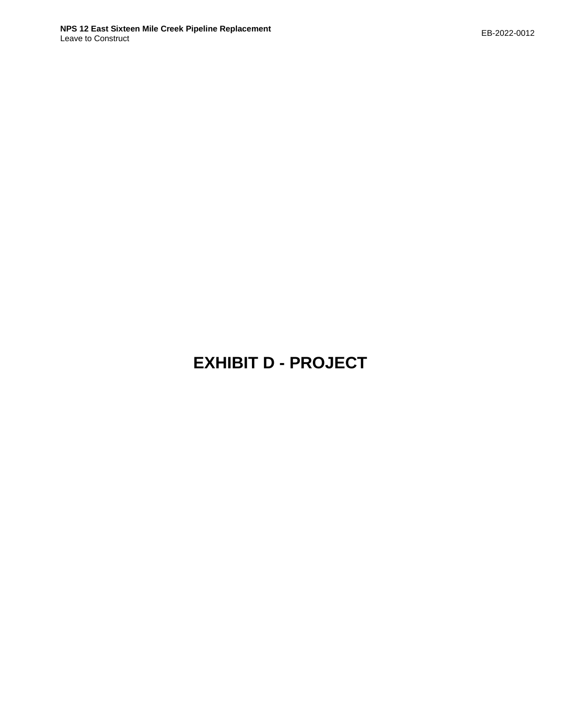# **EXHIBIT D - PROJECT**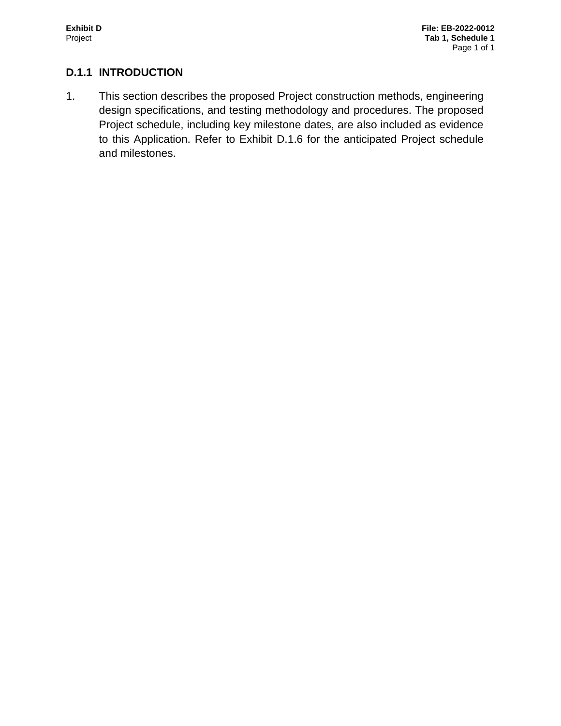# **D.1.1 INTRODUCTION**

1. This section describes the proposed Project construction methods, engineering design specifications, and testing methodology and procedures. The proposed Project schedule, including key milestone dates, are also included as evidence to this Application. Refer to Exhibit D.1.6 for the anticipated Project schedule and milestones.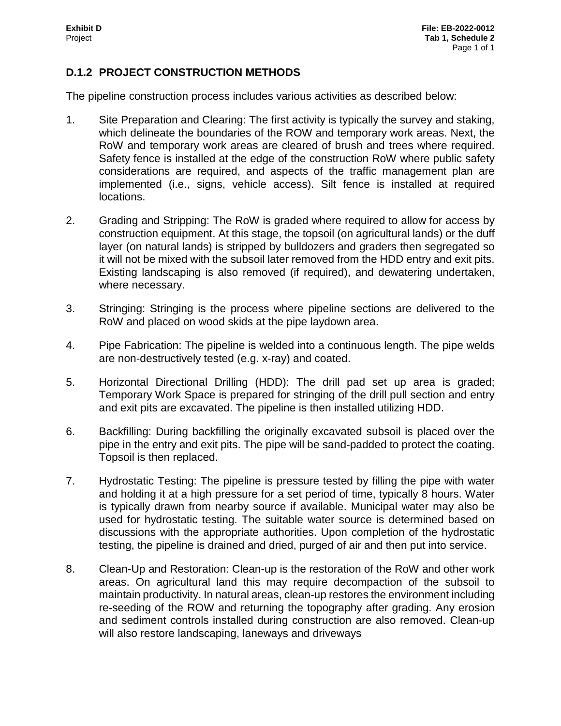### **D.1.2 PROJECT CONSTRUCTION METHODS**

The pipeline construction process includes various activities as described below:

- 1. Site Preparation and Clearing: The first activity is typically the survey and staking, which delineate the boundaries of the ROW and temporary work areas. Next, the RoW and temporary work areas are cleared of brush and trees where required. Safety fence is installed at the edge of the construction RoW where public safety considerations are required, and aspects of the traffic management plan are implemented (i.e., signs, vehicle access). Silt fence is installed at required locations.
- 2. Grading and Stripping: The RoW is graded where required to allow for access by construction equipment. At this stage, the topsoil (on agricultural lands) or the duff layer (on natural lands) is stripped by bulldozers and graders then segregated so it will not be mixed with the subsoil later removed from the HDD entry and exit pits. Existing landscaping is also removed (if required), and dewatering undertaken, where necessary.
- 3. Stringing: Stringing is the process where pipeline sections are delivered to the RoW and placed on wood skids at the pipe laydown area.
- 4. Pipe Fabrication: The pipeline is welded into a continuous length. The pipe welds are non-destructively tested (e.g. x-ray) and coated.
- 5. Horizontal Directional Drilling (HDD): The drill pad set up area is graded; Temporary Work Space is prepared for stringing of the drill pull section and entry and exit pits are excavated. The pipeline is then installed utilizing HDD.
- 6. Backfilling: During backfilling the originally excavated subsoil is placed over the pipe in the entry and exit pits. The pipe will be sand-padded to protect the coating. Topsoil is then replaced.
- 7. Hydrostatic Testing: The pipeline is pressure tested by filling the pipe with water and holding it at a high pressure for a set period of time, typically 8 hours. Water is typically drawn from nearby source if available. Municipal water may also be used for hydrostatic testing. The suitable water source is determined based on discussions with the appropriate authorities. Upon completion of the hydrostatic testing, the pipeline is drained and dried, purged of air and then put into service.
- 8. Clean-Up and Restoration: Clean-up is the restoration of the RoW and other work areas. On agricultural land this may require decompaction of the subsoil to maintain productivity. In natural areas, clean-up restores the environment including re-seeding of the ROW and returning the topography after grading. Any erosion and sediment controls installed during construction are also removed. Clean-up will also restore landscaping, laneways and driveways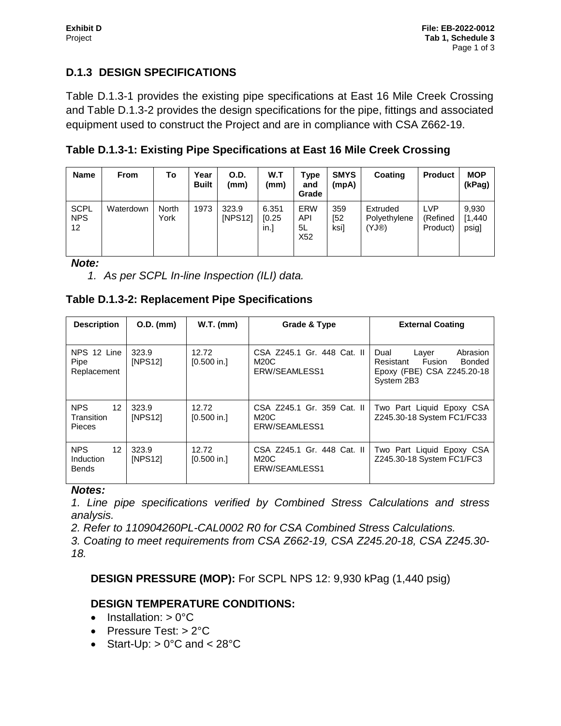# **D.1.3 DESIGN SPECIFICATIONS**

Table D.1.3-1 provides the existing pipe specifications at East 16 Mile Creek Crossing and Table D.1.3-2 provides the design specifications for the pipe, fittings and associated equipment used to construct the Project and are in compliance with CSA Z662-19.

**Table D.1.3-1: Existing Pipe Specifications at East 16 Mile Creek Crossing**

| <b>Name</b>                                    | <b>From</b> | To            | Year<br><b>Built</b> | O.D.<br>(mm)     | W.T<br>(mm)              | Type<br>and<br>Grade           | <b>SMYS</b><br>(mpA) | <b>Coating</b>                    | <b>Product</b>                     | <b>MOP</b><br>(kPag)      |
|------------------------------------------------|-------------|---------------|----------------------|------------------|--------------------------|--------------------------------|----------------------|-----------------------------------|------------------------------------|---------------------------|
| <b>SCPL</b><br><b>NPS</b><br>$12 \overline{ }$ | Waterdown   | North<br>York | 1973                 | 323.9<br>[NPS12] | 6.351<br>[0.25]<br>$\ln$ | <b>ERW</b><br>API<br>5L<br>X52 | 359<br>[52<br>ksi]   | Extruded<br>Polyethylene<br>(YJ@) | <b>LVP</b><br>(Refined<br>Product) | 9,930<br>[1,440]<br>psig] |

*Note:* 

*1. As per SCPL In-line Inspection (ILI) data.* 

#### **Table D.1.3-2: Replacement Pipe Specifications**

| <b>Description</b>                                           | $O.D.$ (mm)      | $W.T.$ (mm)            | Grade & Type                                        | <b>External Coating</b>                                                                                       |  |  |
|--------------------------------------------------------------|------------------|------------------------|-----------------------------------------------------|---------------------------------------------------------------------------------------------------------------|--|--|
| NPS 12 Line<br>Pipe<br>Replacement                           | 323.9<br>[NPS12] | 12.72<br>$[0.500$ in.] | CSA Z245.1 Gr. 448 Cat. II<br>M20C<br>ERW/SEAMLESS1 | Dual<br>Abrasion<br>Layer<br>Fusion<br><b>Bonded</b><br>Resistant<br>Epoxy (FBE) CSA Z245.20-18<br>System 2B3 |  |  |
| <b>NPS</b><br>12 <sup>2</sup><br>Transition<br><b>Pieces</b> | 323.9<br>[NPS12] | 12.72<br>[0.500 in.]   | CSA Z245.1 Gr. 359 Cat. II<br>M20C<br>ERW/SEAMLESS1 | Two Part Liquid Epoxy CSA<br>Z245.30-18 System FC1/FC33                                                       |  |  |
| <b>NPS</b><br>$12 \overline{ }$<br>Induction<br><b>Bends</b> | 323.9<br>[NPS12] | 12.72<br>$[0.500$ in.] | CSA Z245.1 Gr. 448 Cat. II<br>M20C<br>ERW/SEAMLESS1 | Two Part Liquid Epoxy CSA<br>Z245.30-18 System FC1/FC3                                                        |  |  |

#### *Notes:*

*1. Line pipe specifications verified by Combined Stress Calculations and stress analysis.* 

*2. Refer to 110904260PL-CAL0002 R0 for CSA Combined Stress Calculations.* 

*3. Coating to meet requirements from CSA Z662-19, CSA Z245.20-18, CSA Z245.30- 18.*

#### **DESIGN PRESSURE (MOP):** For SCPL NPS 12: 9,930 kPag (1,440 psig)

#### **DESIGN TEMPERATURE CONDITIONS:**

- $\bullet$  Installation:  $> 0^{\circ}C$
- Pressure Test: > 2°C
- Start-Up:  $> 0^{\circ}$ C and  $< 28^{\circ}$ C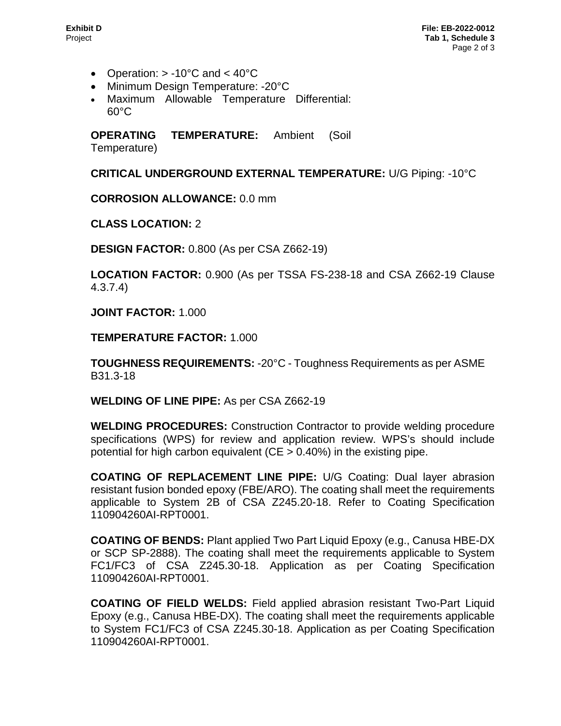- Operation:  $> -10^{\circ}$ C and  $< 40^{\circ}$ C
- Minimum Design Temperature: -20°C
- Maximum Allowable Temperature Differential: 60°C

**OPERATING TEMPERATURE:** Ambient (Soil Temperature)

**CRITICAL UNDERGROUND EXTERNAL TEMPERATURE:** U/G Piping: -10°C

**CORROSION ALLOWANCE:** 0.0 mm

**CLASS LOCATION:** 2

**DESIGN FACTOR:** 0.800 (As per CSA Z662-19)

**LOCATION FACTOR:** 0.900 (As per TSSA FS-238-18 and CSA Z662-19 Clause 4.3.7.4)

**JOINT FACTOR:** 1.000

**TEMPERATURE FACTOR:** 1.000

**TOUGHNESS REQUIREMENTS:** -20°C - Toughness Requirements as per ASME B31.3-18

**WELDING OF LINE PIPE:** As per CSA Z662-19

**WELDING PROCEDURES:** Construction Contractor to provide welding procedure specifications (WPS) for review and application review. WPS's should include potential for high carbon equivalent ( $CE > 0.40\%$ ) in the existing pipe.

**COATING OF REPLACEMENT LINE PIPE:** U/G Coating: Dual layer abrasion resistant fusion bonded epoxy (FBE/ARO). The coating shall meet the requirements applicable to System 2B of CSA Z245.20-18. Refer to Coating Specification 110904260AI-RPT0001.

**COATING OF BENDS:** Plant applied Two Part Liquid Epoxy (e.g., Canusa HBE-DX or SCP SP-2888). The coating shall meet the requirements applicable to System FC1/FC3 of CSA Z245.30-18. Application as per Coating Specification 110904260AI-RPT0001.

**COATING OF FIELD WELDS:** Field applied abrasion resistant Two-Part Liquid Epoxy (e.g., Canusa HBE-DX). The coating shall meet the requirements applicable to System FC1/FC3 of CSA Z245.30-18. Application as per Coating Specification 110904260AI-RPT0001.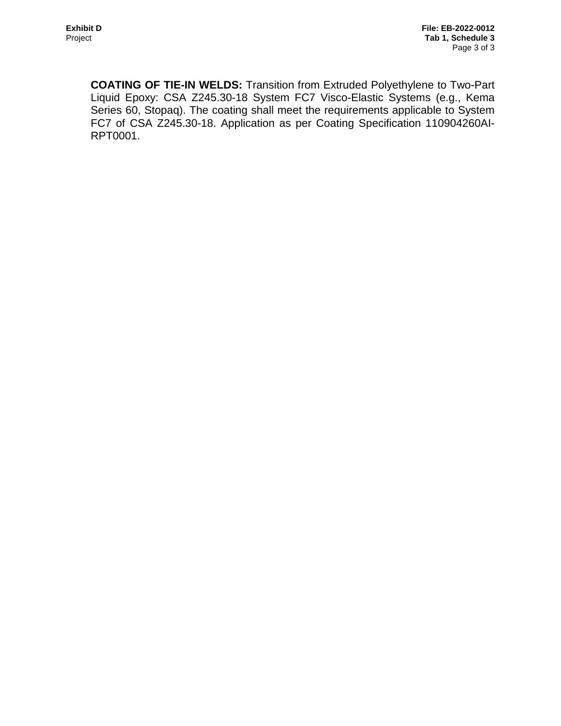**COATING OF TIE-IN WELDS:** Transition from Extruded Polyethylene to Two-Part Liquid Epoxy: CSA Z245.30-18 System FC7 Visco-Elastic Systems (e.g., Kema Series 60, Stopaq). The coating shall meet the requirements applicable to System FC7 of CSA Z245.30-18. Application as per Coating Specification 110904260AI-RPT0001.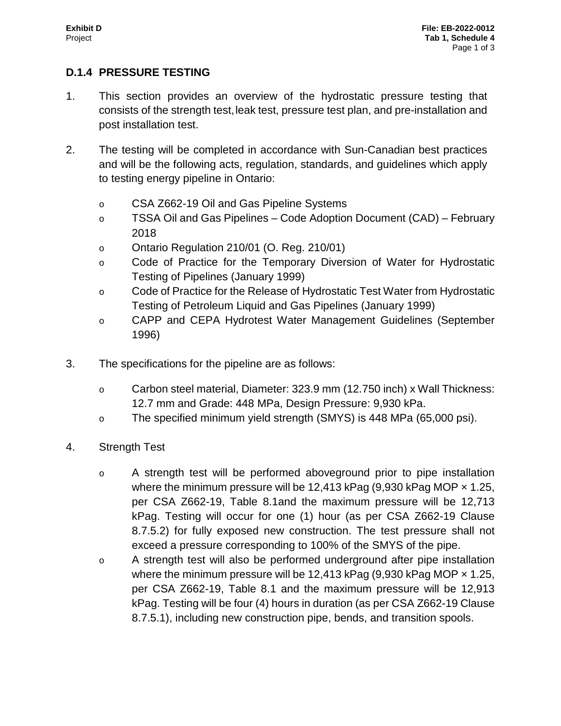#### **D.1.4 PRESSURE TESTING**

- 1. This section provides an overview of the hydrostatic pressure testing that consists of the strength test, leak test, pressure test plan, and pre-installation and post installation test.
- 2. The testing will be completed in accordance with Sun-Canadian best practices and will be the following acts, regulation, standards, and guidelines which apply to testing energy pipeline in Ontario:
	- o CSA Z662-19 Oil and Gas Pipeline Systems
	- o TSSA Oil and Gas Pipelines Code Adoption Document (CAD) February 2018
	- o Ontario Regulation 210/01 (O. Reg. 210/01)
	- o Code of Practice for the Temporary Diversion of Water for Hydrostatic Testing of Pipelines (January 1999)
	- o Code of Practice for the Release of Hydrostatic Test Water from Hydrostatic Testing of Petroleum Liquid and Gas Pipelines (January 1999)
	- o CAPP and CEPA Hydrotest Water Management Guidelines (September 1996)
- 3. The specifications for the pipeline are as follows:
	- o Carbon steel material, Diameter: 323.9 mm (12.750 inch) x Wall Thickness: 12.7 mm and Grade: 448 MPa, Design Pressure: 9,930 kPa.
	- o The specified minimum yield strength (SMYS) is 448 MPa (65,000 psi).
- 4. Strength Test
	- o A strength test will be performed aboveground prior to pipe installation where the minimum pressure will be 12,413 kPag  $(9,930 \text{ kPaq } \text{MOP} \times 1.25,$ per CSA Z662-19, Table 8.1and the maximum pressure will be 12,713 kPag. Testing will occur for one (1) hour (as per CSA Z662-19 Clause 8.7.5.2) for fully exposed new construction. The test pressure shall not exceed a pressure corresponding to 100% of the SMYS of the pipe.
	- o A strength test will also be performed underground after pipe installation where the minimum pressure will be 12,413 kPag  $(9,930$  kPag MOP  $\times$  1.25, per CSA Z662-19, Table 8.1 and the maximum pressure will be 12,913 kPag. Testing will be four (4) hours in duration (as per CSA Z662-19 Clause 8.7.5.1), including new construction pipe, bends, and transition spools.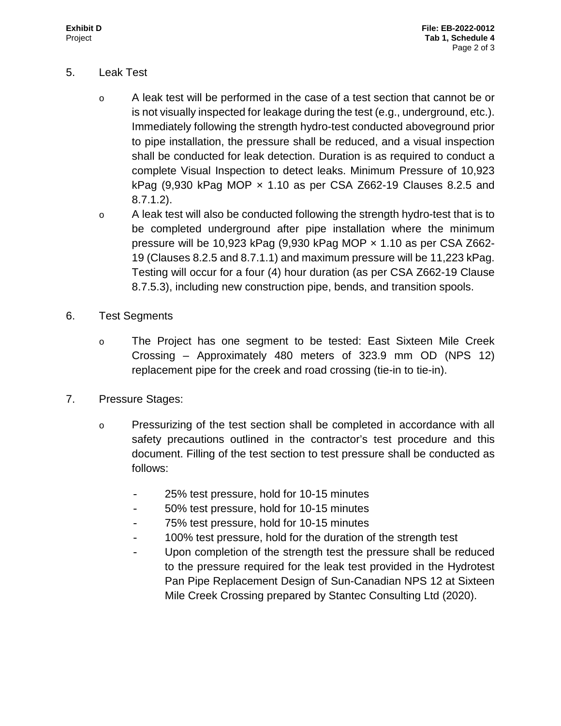#### 5. Leak Test

- o A leak test will be performed in the case of a test section that cannot be or is not visually inspected for leakage during the test (e.g., underground, etc.). Immediately following the strength hydro-test conducted aboveground prior to pipe installation, the pressure shall be reduced, and a visual inspection shall be conducted for leak detection. Duration is as required to conduct a complete Visual Inspection to detect leaks. Minimum Pressure of 10,923 kPag  $(9,930 \text{ kPag } \text{MOP} \times 1.10 \text{ as per CSA } 2662-19 \text{ Clauses } 8.2.5 \text{ and }$ 8.7.1.2).
- o A leak test will also be conducted following the strength hydro-test that is to be completed underground after pipe installation where the minimum pressure will be 10,923 kPag  $(9,930 \text{ kPaq} \text{ MOP} \times 1.10 \text{ as per CSA } Z662$ -19 (Clauses 8.2.5 and 8.7.1.1) and maximum pressure will be 11,223 kPag. Testing will occur for a four (4) hour duration (as per CSA Z662-19 Clause 8.7.5.3), including new construction pipe, bends, and transition spools.
- 6. Test Segments
	- o The Project has one segment to be tested: East Sixteen Mile Creek Crossing – Approximately 480 meters of 323.9 mm OD (NPS 12) replacement pipe for the creek and road crossing (tie-in to tie-in).
- 7. Pressure Stages:
	- o Pressurizing of the test section shall be completed in accordance with all safety precautions outlined in the contractor's test procedure and this document. Filling of the test section to test pressure shall be conducted as follows:
		- 25% test pressure, hold for 10-15 minutes
		- 50% test pressure, hold for 10-15 minutes
		- 75% test pressure, hold for 10-15 minutes
		- 100% test pressure, hold for the duration of the strength test
		- Upon completion of the strength test the pressure shall be reduced to the pressure required for the leak test provided in the Hydrotest Pan Pipe Replacement Design of Sun-Canadian NPS 12 at Sixteen Mile Creek Crossing prepared by Stantec Consulting Ltd (2020).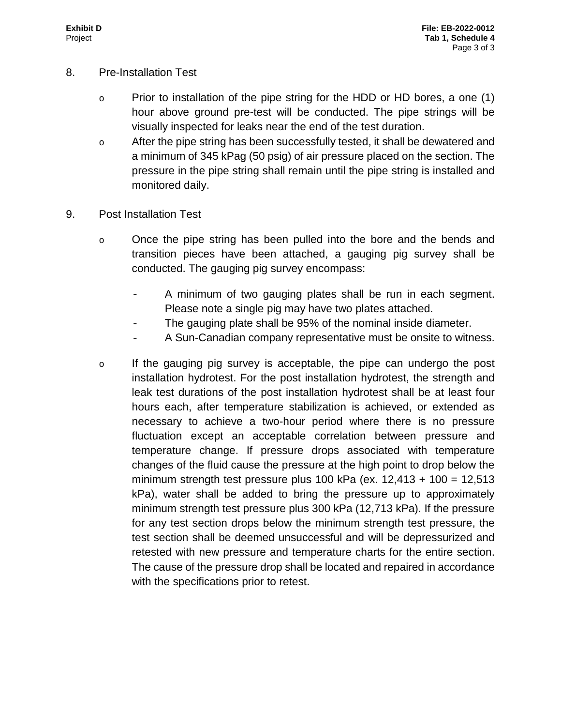- 8. Pre-Installation Test
	- $\circ$  Prior to installation of the pipe string for the HDD or HD bores, a one (1) hour above ground pre-test will be conducted. The pipe strings will be visually inspected for leaks near the end of the test duration.
	- o After the pipe string has been successfully tested, it shall be dewatered and a minimum of 345 kPag (50 psig) of air pressure placed on the section. The pressure in the pipe string shall remain until the pipe string is installed and monitored daily.
- 9. Post Installation Test
	- o Once the pipe string has been pulled into the bore and the bends and transition pieces have been attached, a gauging pig survey shall be conducted. The gauging pig survey encompass:
		- A minimum of two gauging plates shall be run in each segment. Please note a single pig may have two plates attached.
		- The gauging plate shall be 95% of the nominal inside diameter.
		- A Sun-Canadian company representative must be onsite to witness.
	- o If the gauging pig survey is acceptable, the pipe can undergo the post installation hydrotest. For the post installation hydrotest, the strength and leak test durations of the post installation hydrotest shall be at least four hours each, after temperature stabilization is achieved, or extended as necessary to achieve a two-hour period where there is no pressure fluctuation except an acceptable correlation between pressure and temperature change. If pressure drops associated with temperature changes of the fluid cause the pressure at the high point to drop below the minimum strength test pressure plus 100 kPa (ex.  $12,413 + 100 = 12,513$ kPa), water shall be added to bring the pressure up to approximately minimum strength test pressure plus 300 kPa (12,713 kPa). If the pressure for any test section drops below the minimum strength test pressure, the test section shall be deemed unsuccessful and will be depressurized and retested with new pressure and temperature charts for the entire section. The cause of the pressure drop shall be located and repaired in accordance with the specifications prior to retest.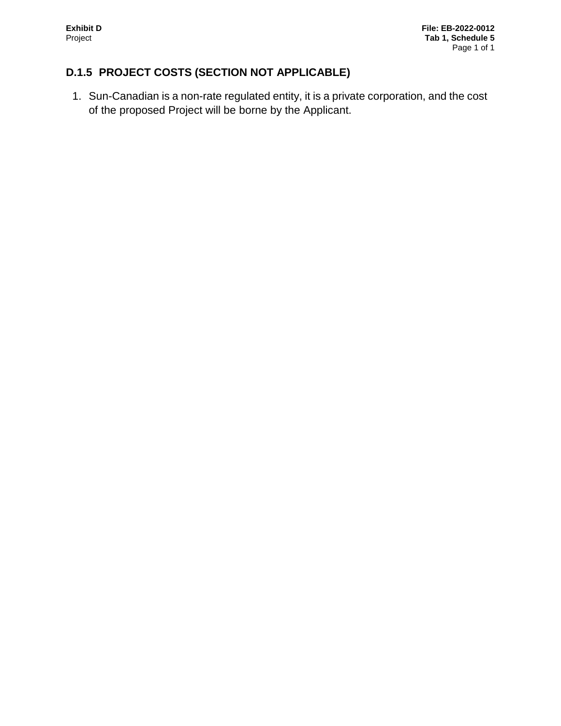# **D.1.5 PROJECT COSTS (SECTION NOT APPLICABLE)**

1. Sun-Canadian is a non-rate regulated entity, it is a private corporation, and the cost of the proposed Project will be borne by the Applicant.